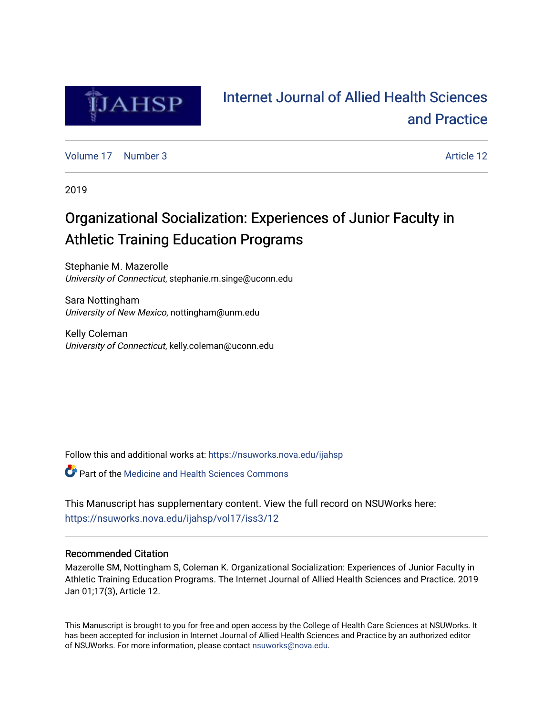

# [Internet Journal of Allied Health Sciences](https://nsuworks.nova.edu/ijahsp)  [and Practice](https://nsuworks.nova.edu/ijahsp)

[Volume 17](https://nsuworks.nova.edu/ijahsp/vol17) | [Number 3](https://nsuworks.nova.edu/ijahsp/vol17/iss3) Article 12

2019

# Organizational Socialization: Experiences of Junior Faculty in Athletic Training Education Programs

Stephanie M. Mazerolle University of Connecticut, stephanie.m.singe@uconn.edu

Sara Nottingham University of New Mexico, nottingham@unm.edu

Kelly Coleman University of Connecticut, kelly.coleman@uconn.edu

Follow this and additional works at: [https://nsuworks.nova.edu/ijahsp](https://nsuworks.nova.edu/ijahsp?utm_source=nsuworks.nova.edu%2Fijahsp%2Fvol17%2Fiss3%2F12&utm_medium=PDF&utm_campaign=PDFCoverPages) 

Part of the [Medicine and Health Sciences Commons](http://network.bepress.com/hgg/discipline/648?utm_source=nsuworks.nova.edu%2Fijahsp%2Fvol17%2Fiss3%2F12&utm_medium=PDF&utm_campaign=PDFCoverPages) 

This Manuscript has supplementary content. View the full record on NSUWorks here: <https://nsuworks.nova.edu/ijahsp/vol17/iss3/12>

## Recommended Citation

Mazerolle SM, Nottingham S, Coleman K. Organizational Socialization: Experiences of Junior Faculty in Athletic Training Education Programs. The Internet Journal of Allied Health Sciences and Practice. 2019 Jan 01;17(3), Article 12.

This Manuscript is brought to you for free and open access by the College of Health Care Sciences at NSUWorks. It has been accepted for inclusion in Internet Journal of Allied Health Sciences and Practice by an authorized editor of NSUWorks. For more information, please contact [nsuworks@nova.edu.](mailto:nsuworks@nova.edu)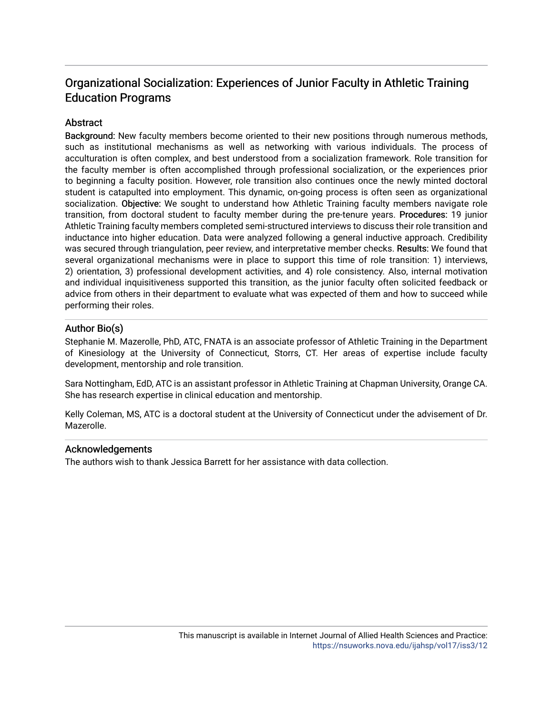## Organizational Socialization: Experiences of Junior Faculty in Athletic Training Education Programs

## Abstract

Background: New faculty members become oriented to their new positions through numerous methods, such as institutional mechanisms as well as networking with various individuals. The process of acculturation is often complex, and best understood from a socialization framework. Role transition for the faculty member is often accomplished through professional socialization, or the experiences prior to beginning a faculty position. However, role transition also continues once the newly minted doctoral student is catapulted into employment. This dynamic, on-going process is often seen as organizational socialization. Objective: We sought to understand how Athletic Training faculty members navigate role transition, from doctoral student to faculty member during the pre-tenure years. Procedures: 19 junior Athletic Training faculty members completed semi-structured interviews to discuss their role transition and inductance into higher education. Data were analyzed following a general inductive approach. Credibility was secured through triangulation, peer review, and interpretative member checks. Results: We found that several organizational mechanisms were in place to support this time of role transition: 1) interviews, 2) orientation, 3) professional development activities, and 4) role consistency. Also, internal motivation and individual inquisitiveness supported this transition, as the junior faculty often solicited feedback or advice from others in their department to evaluate what was expected of them and how to succeed while performing their roles.

## Author Bio(s)

Stephanie M. Mazerolle, PhD, ATC, FNATA is an associate professor of Athletic Training in the Department of Kinesiology at the University of Connecticut, Storrs, CT. Her areas of expertise include faculty development, mentorship and role transition.

Sara Nottingham, EdD, ATC is an assistant professor in Athletic Training at Chapman University, Orange CA. She has research expertise in clinical education and mentorship.

Kelly Coleman, MS, ATC is a doctoral student at the University of Connecticut under the advisement of Dr. Mazerolle.

## Acknowledgements

The authors wish to thank Jessica Barrett for her assistance with data collection.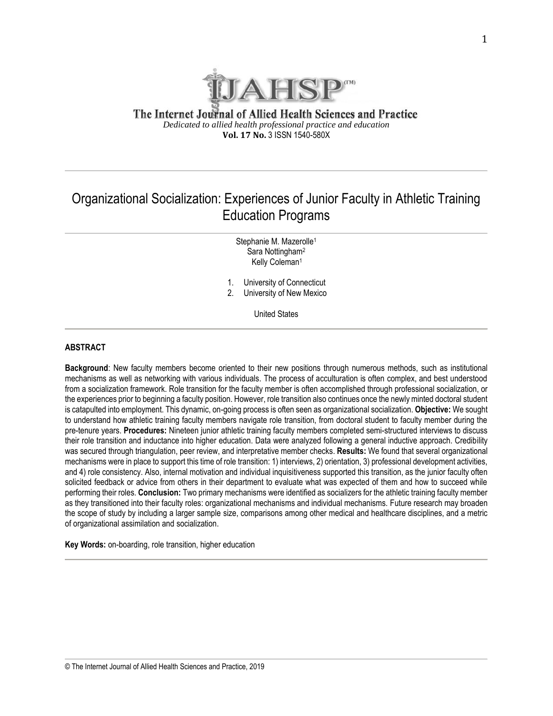

The Internet Journal of Allied Health Sciences and Practice *Dedicated to allied health professional practice and education* **Vol. 17 No.** 3 ISSN 1540-580X

## Organizational Socialization: Experiences of Junior Faculty in Athletic Training Education Programs

Stephanie M. Mazerolle<sup>1</sup> Sara Nottingham<sup>2</sup> Kelly Coleman<sup>1</sup>

- 1. University of Connecticut
- 2. University of New Mexico

United States

#### **ABSTRACT**

**Background**: New faculty members become oriented to their new positions through numerous methods, such as institutional mechanisms as well as networking with various individuals. The process of acculturation is often complex, and best understood from a socialization framework. Role transition for the faculty member is often accomplished through professional socialization, or the experiences prior to beginning a faculty position. However, role transition also continues once the newly minted doctoral student is catapulted into employment. This dynamic, on-going process is often seen as organizational socialization. **Objective:** We sought to understand how athletic training faculty members navigate role transition, from doctoral student to faculty member during the pre-tenure years. **Procedures:** Nineteen junior athletic training faculty members completed semi-structured interviews to discuss their role transition and inductance into higher education. Data were analyzed following a general inductive approach. Credibility was secured through triangulation, peer review, and interpretative member checks. **Results:** We found that several organizational mechanisms were in place to support this time of role transition: 1) interviews, 2) orientation, 3) professional development activities, and 4) role consistency. Also, internal motivation and individual inquisitiveness supported this transition, as the junior faculty often solicited feedback or advice from others in their department to evaluate what was expected of them and how to succeed while performing their roles. **Conclusion:** Two primary mechanisms were identified as socializers for the athletic training faculty member as they transitioned into their faculty roles: organizational mechanisms and individual mechanisms. Future research may broaden the scope of study by including a larger sample size, comparisons among other medical and healthcare disciplines, and a metric of organizational assimilation and socialization.

**Key Words:** on-boarding, role transition, higher education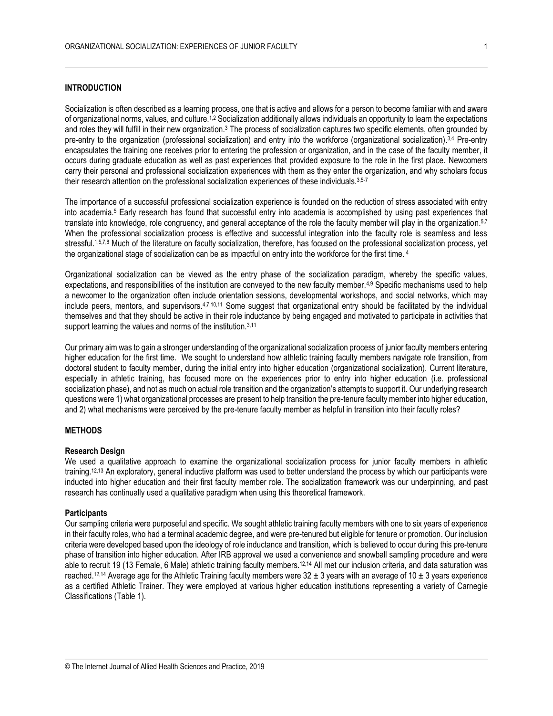#### **INTRODUCTION**

Socialization is often described as a learning process, one that is active and allows for a person to become familiar with and aware of organizational norms, values, and culture.1,2 Socialization additionally allows individuals an opportunity to learn the expectations and roles they will fulfill in their new organization.<sup>3</sup> The process of socialization captures two specific elements, often grounded by pre-entry to the organization (professional socialization) and entry into the workforce (organizational socialization).<sup>3,4</sup> Pre-entry encapsulates the training one receives prior to entering the profession or organization, and in the case of the faculty member, it occurs during graduate education as well as past experiences that provided exposure to the role in the first place. Newcomers carry their personal and professional socialization experiences with them as they enter the organization, and why scholars focus their research attention on the professional socialization experiences of these individuals.<sup>3,5-7</sup>

The importance of a successful professional socialization experience is founded on the reduction of stress associated with entry into academia.<sup>5</sup> Early research has found that successful entry into academia is accomplished by using past experiences that translate into knowledge, role congruency, and general acceptance of the role the faculty member will play in the organization.5,7 When the professional socialization process is effective and successful integration into the faculty role is seamless and less stressful.1,5,7,8 Much of the literature on faculty socialization, therefore, has focused on the professional socialization process, yet the organizational stage of socialization can be as impactful on entry into the workforce for the first time. <sup>4</sup>

Organizational socialization can be viewed as the entry phase of the socialization paradigm, whereby the specific values, expectations, and responsibilities of the institution are conveyed to the new faculty member.4,9 Specific mechanisms used to help a newcomer to the organization often include orientation sessions, developmental workshops, and social networks, which may include peers, mentors, and supervisors.<sup>4,7,10,11</sup> Some suggest that organizational entry should be facilitated by the individual themselves and that they should be active in their role inductance by being engaged and motivated to participate in activities that support learning the values and norms of the institution.<sup>3,11</sup>

Our primary aim was to gain a stronger understanding of the organizational socialization process of junior faculty members entering higher education for the first time. We sought to understand how athletic training faculty members navigate role transition, from doctoral student to faculty member, during the initial entry into higher education (organizational socialization). Current literature, especially in athletic training, has focused more on the experiences prior to entry into higher education (i.e. professional socialization phase), and not as much on actual role transition and the organization's attempts to support it. Our underlying research questions were 1) what organizational processes are present to help transition the pre-tenure faculty member into higher education, and 2) what mechanisms were perceived by the pre-tenure faculty member as helpful in transition into their faculty roles?

#### **METHODS**

#### **Research Design**

We used a qualitative approach to examine the organizational socialization process for junior faculty members in athletic training.12,13 An exploratory, general inductive platform was used to better understand the process by which our participants were inducted into higher education and their first faculty member role. The socialization framework was our underpinning, and past research has continually used a qualitative paradigm when using this theoretical framework.

#### **Participants**

Our sampling criteria were purposeful and specific. We sought athletic training faculty members with one to six years of experience in their faculty roles, who had a terminal academic degree, and were pre-tenured but eligible for tenure or promotion. Our inclusion criteria were developed based upon the ideology of role inductance and transition, which is believed to occur during this pre-tenure phase of transition into higher education. After IRB approval we used a convenience and snowball sampling procedure and were able to recruit 19 (13 Female, 6 Male) athletic training faculty members.12,14 All met our inclusion criteria, and data saturation was reached.<sup>12,14</sup> Average age for the Athletic Training faculty members were 32 ± 3 years with an average of 10 ± 3 years experience as a certified Athletic Trainer. They were employed at various higher education institutions representing a variety of Carnegie Classifications (Table 1).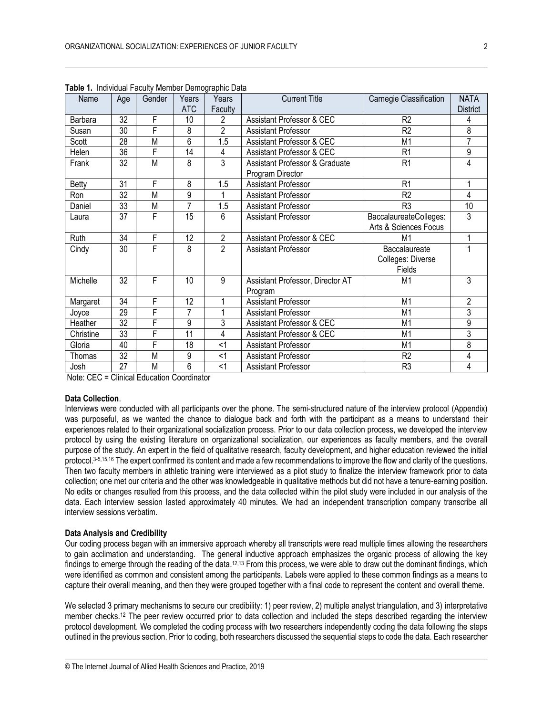| Name      | Age             | Gender | Years          | Years          | <b>Current Title</b>             | Carnegie Classification | <b>NATA</b>    |
|-----------|-----------------|--------|----------------|----------------|----------------------------------|-------------------------|----------------|
|           |                 |        | <b>ATC</b>     | Faculty        |                                  |                         | District       |
| Barbara   | 32              | F      | 10             | 2              | Assistant Professor & CEC        | R <sub>2</sub>          | 4              |
| Susan     | 30              | F      | 8              | $\overline{2}$ | Assistant Professor              | R <sub>2</sub>          | 8              |
| Scott     | 28              | M      | 6              | 1.5            | Assistant Professor & CEC        | M <sub>1</sub>          | 7              |
| Helen     | 36              | F      | 14             | 4              | Assistant Professor & CEC        | R <sub>1</sub>          | 9              |
| Frank     | 32              | M      | 8              | 3              | Assistant Professor & Graduate   | R <sub>1</sub>          | 4              |
|           |                 |        |                |                | Program Director                 |                         |                |
| Betty     | 31              | F      | 8              | 1.5            | <b>Assistant Professor</b>       | R <sub>1</sub>          | 1              |
| Ron       | 32              | M      | 9              |                | Assistant Professor              | R <sub>2</sub>          | 4              |
| Daniel    | 33              | M      | $\overline{7}$ | 1.5            | Assistant Professor              | R <sub>3</sub>          | 10             |
| Laura     | 37              | F      | 15             | 6              | <b>Assistant Professor</b>       | BaccalaureateColleges:  | 3              |
|           |                 |        |                |                |                                  | Arts & Sciences Focus   |                |
| Ruth      | 34              | F      | 12             | $\mathbf{2}$   | Assistant Professor & CEC        | M1                      |                |
| Cindy     | 30              | F      | 8              | $\overline{2}$ | Assistant Professor              | Baccalaureate           | 1              |
|           |                 |        |                |                |                                  | Colleges: Diverse       |                |
|           |                 |        |                |                |                                  | Fields                  |                |
| Michelle  | 32              | F      | 10             | 9              | Assistant Professor, Director AT | M1                      | 3              |
|           |                 |        |                |                | Program                          |                         |                |
| Margaret  | 34              | F      | 12             |                | <b>Assistant Professor</b>       | M <sub>1</sub>          | $\overline{2}$ |
| Joyce     | $\overline{29}$ | F      | 7              |                | <b>Assistant Professor</b>       | M <sub>1</sub>          | 3              |
| Heather   | $\overline{32}$ | F      | 9              | 3              | Assistant Professor & CEC        | M <sub>1</sub>          | $\overline{9}$ |
| Christine | 33              | F      | 11             | 4              | Assistant Professor & CEC        | M <sub>1</sub>          | 3              |
| Gloria    | 40              | F      | 18             | $<$ 1          | Assistant Professor              | M <sub>1</sub>          | 8              |
| Thomas    | 32              | M      | 9              | <1             | <b>Assistant Professor</b>       | R <sub>2</sub>          | 4              |
| Josh      | 27              | M      | $\overline{6}$ | $<$ 1          | Assistant Professor              | R <sub>3</sub>          | 4              |

**Table 1.** Individual Faculty Member Demographic Data

Note: CEC = Clinical Education Coordinator

#### **Data Collection**.

Interviews were conducted with all participants over the phone. The semi-structured nature of the interview protocol (Appendix) was purposeful, as we wanted the chance to dialogue back and forth with the participant as a means to understand their experiences related to their organizational socialization process. Prior to our data collection process, we developed the interview protocol by using the existing literature on organizational socialization, our experiences as faculty members, and the overall purpose of the study. An expert in the field of qualitative research, faculty development, and higher education reviewed the initial protocol.3-5,15,16 The expert confirmed its content and made a few recommendations to improve the flow and clarity of the questions. Then two faculty members in athletic training were interviewed as a pilot study to finalize the interview framework prior to data collection; one met our criteria and the other was knowledgeable in qualitative methods but did not have a tenure-earning position. No edits or changes resulted from this process, and the data collected within the pilot study were included in our analysis of the data. Each interview session lasted approximately 40 minutes. We had an independent transcription company transcribe all interview sessions verbatim.

#### **Data Analysis and Credibility**

Our coding process began with an immersive approach whereby all transcripts were read multiple times allowing the researchers to gain acclimation and understanding. The general inductive approach emphasizes the organic process of allowing the key findings to emerge through the reading of the data.<sup>12,13</sup> From this process, we were able to draw out the dominant findings, which were identified as common and consistent among the participants. Labels were applied to these common findings as a means to capture their overall meaning, and then they were grouped together with a final code to represent the content and overall theme.

We selected 3 primary mechanisms to secure our credibility: 1) peer review, 2) multiple analyst triangulation, and 3) interpretative member checks.<sup>12</sup> The peer review occurred prior to data collection and included the steps described regarding the interview protocol development. We completed the coding process with two researchers independently coding the data following the steps outlined in the previous section. Prior to coding, both researchers discussed the sequential steps to code the data. Each researcher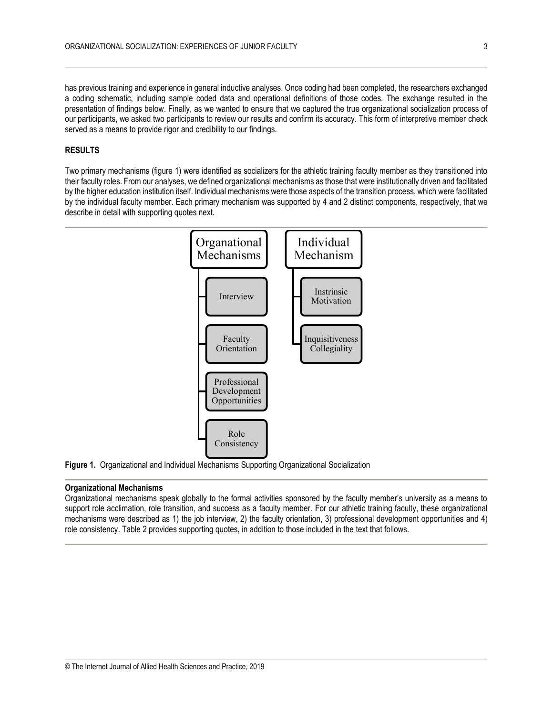has previous training and experience in general inductive analyses. Once coding had been completed, the researchers exchanged a coding schematic, including sample coded data and operational definitions of those codes. The exchange resulted in the presentation of findings below. Finally, as we wanted to ensure that we captured the true organizational socialization process of our participants, we asked two participants to review our results and confirm its accuracy. This form of interpretive member check served as a means to provide rigor and credibility to our findings.

#### **RESULTS**

Two primary mechanisms (figure 1) were identified as socializers for the athletic training faculty member as they transitioned into their faculty roles. From our analyses, we defined organizational mechanisms as those that were institutionally driven and facilitated by the higher education institution itself. Individual mechanisms were those aspects of the transition process, which were facilitated by the individual faculty member. Each primary mechanism was supported by 4 and 2 distinct components, respectively, that we describe in detail with supporting quotes next.



**Figure 1.** Organizational and Individual Mechanisms Supporting Organizational Socialization

#### **Organizational Mechanisms**

Organizational mechanisms speak globally to the formal activities sponsored by the faculty member's university as a means to support role acclimation, role transition, and success as a faculty member. For our athletic training faculty, these organizational mechanisms were described as 1) the job interview, 2) the faculty orientation, 3) professional development opportunities and 4) role consistency. Table 2 provides supporting quotes, in addition to those included in the text that follows.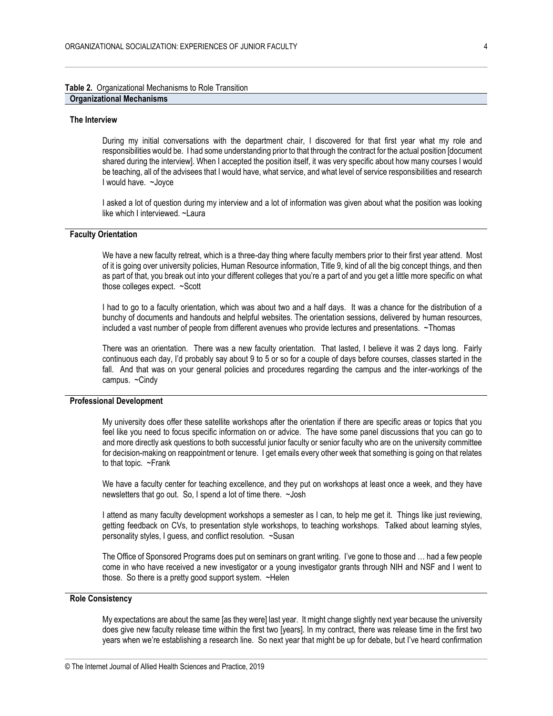#### **Table 2.** Organizational Mechanisms to Role Transition **Organizational Mechanisms**

#### **The Interview**

During my initial conversations with the department chair, I discovered for that first year what my role and responsibilities would be. I had some understanding prior to that through the contract for the actual position [document shared during the interview]. When I accepted the position itself, it was very specific about how many courses I would be teaching, all of the advisees that I would have, what service, and what level of service responsibilities and research I would have. ~Joyce

I asked a lot of question during my interview and a lot of information was given about what the position was looking like which I interviewed. ~Laura

### **Faculty Orientation**

We have a new faculty retreat, which is a three-day thing where faculty members prior to their first year attend. Most of it is going over university policies, Human Resource information, Title 9, kind of all the big concept things, and then as part of that, you break out into your different colleges that you're a part of and you get a little more specific on what those colleges expect. ~Scott

I had to go to a faculty orientation, which was about two and a half days. It was a chance for the distribution of a bunchy of documents and handouts and helpful websites. The orientation sessions, delivered by human resources, included a vast number of people from different avenues who provide lectures and presentations. ~Thomas

There was an orientation. There was a new faculty orientation. That lasted, I believe it was 2 days long. Fairly continuous each day, I'd probably say about 9 to 5 or so for a couple of days before courses, classes started in the fall. And that was on your general policies and procedures regarding the campus and the inter-workings of the campus. ~Cindy

#### **Professional Development**

My university does offer these satellite workshops after the orientation if there are specific areas or topics that you feel like you need to focus specific information on or advice. The have some panel discussions that you can go to and more directly ask questions to both successful junior faculty or senior faculty who are on the university committee for decision-making on reappointment or tenure. I get emails every other week that something is going on that relates to that topic. ~Frank

We have a faculty center for teaching excellence, and they put on workshops at least once a week, and they have newsletters that go out. So, I spend a lot of time there. ~Josh

I attend as many faculty development workshops a semester as I can, to help me get it. Things like just reviewing, getting feedback on CVs, to presentation style workshops, to teaching workshops. Talked about learning styles, personality styles, I guess, and conflict resolution. ~Susan

The Office of Sponsored Programs does put on seminars on grant writing. I've gone to those and … had a few people come in who have received a new investigator or a young investigator grants through NIH and NSF and I went to those. So there is a pretty good support system. ~Helen

#### **Role Consistency**

My expectations are about the same [as they were] last year. It might change slightly next year because the university does give new faculty release time within the first two [years]. In my contract, there was release time in the first two years when we're establishing a research line. So next year that might be up for debate, but I've heard confirmation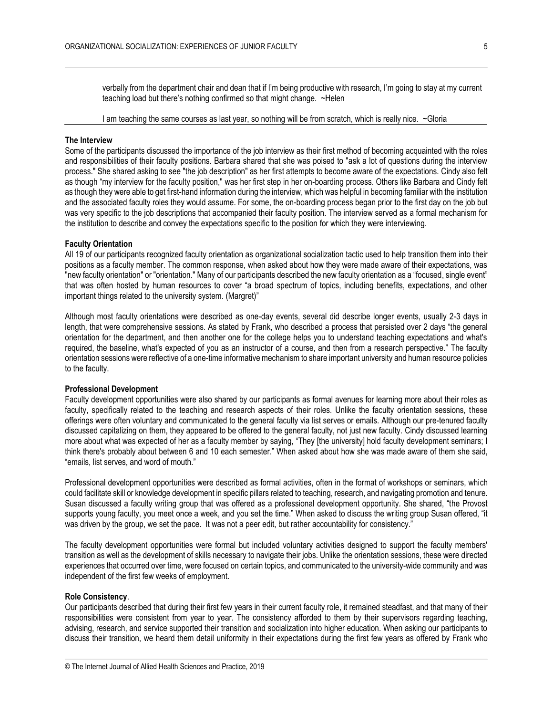verbally from the department chair and dean that if I'm being productive with research, I'm going to stay at my current teaching load but there's nothing confirmed so that might change. ~Helen

I am teaching the same courses as last year, so nothing will be from scratch, which is really nice. ~Gloria

#### **The Interview**

Some of the participants discussed the importance of the job interview as their first method of becoming acquainted with the roles and responsibilities of their faculty positions. Barbara shared that she was poised to "ask a lot of questions during the interview process." She shared asking to see "the job description" as her first attempts to become aware of the expectations. Cindy also felt as though "my interview for the faculty position," was her first step in her on-boarding process. Others like Barbara and Cindy felt as though they were able to get first-hand information during the interview, which was helpful in becoming familiar with the institution and the associated faculty roles they would assume. For some, the on-boarding process began prior to the first day on the job but was very specific to the job descriptions that accompanied their faculty position. The interview served as a formal mechanism for the institution to describe and convey the expectations specific to the position for which they were interviewing.

#### **Faculty Orientation**

All 19 of our participants recognized faculty orientation as organizational socialization tactic used to help transition them into their positions as a faculty member. The common response, when asked about how they were made aware of their expectations, was "new faculty orientation" or "orientation." Many of our participants described the new faculty orientation as a "focused, single event" that was often hosted by human resources to cover "a broad spectrum of topics, including benefits, expectations, and other important things related to the university system. (Margret)"

Although most faculty orientations were described as one-day events, several did describe longer events, usually 2-3 days in length, that were comprehensive sessions. As stated by Frank, who described a process that persisted over 2 days "the general orientation for the department, and then another one for the college helps you to understand teaching expectations and what's required, the baseline, what's expected of you as an instructor of a course, and then from a research perspective." The faculty orientation sessions were reflective of a one-time informative mechanism to share important university and human resource policies to the faculty.

#### **Professional Development**

Faculty development opportunities were also shared by our participants as formal avenues for learning more about their roles as faculty, specifically related to the teaching and research aspects of their roles. Unlike the faculty orientation sessions, these offerings were often voluntary and communicated to the general faculty via list serves or emails. Although our pre-tenured faculty discussed capitalizing on them, they appeared to be offered to the general faculty, not just new faculty. Cindy discussed learning more about what was expected of her as a faculty member by saying, "They [the university] hold faculty development seminars; I think there's probably about between 6 and 10 each semester." When asked about how she was made aware of them she said, "emails, list serves, and word of mouth."

Professional development opportunities were described as formal activities, often in the format of workshops or seminars, which could facilitate skill or knowledge development in specific pillars related to teaching, research, and navigating promotion and tenure. Susan discussed a faculty writing group that was offered as a professional development opportunity. She shared, "the Provost supports young faculty, you meet once a week, and you set the time." When asked to discuss the writing group Susan offered, "it was driven by the group, we set the pace. It was not a peer edit, but rather accountability for consistency."

The faculty development opportunities were formal but included voluntary activities designed to support the faculty members' transition as well as the development of skills necessary to navigate their jobs. Unlike the orientation sessions, these were directed experiences that occurred over time, were focused on certain topics, and communicated to the university-wide community and was independent of the first few weeks of employment.

#### **Role Consistency**.

Our participants described that during their first few years in their current faculty role, it remained steadfast, and that many of their responsibilities were consistent from year to year. The consistency afforded to them by their supervisors regarding teaching, advising, research, and service supported their transition and socialization into higher education. When asking our participants to discuss their transition, we heard them detail uniformity in their expectations during the first few years as offered by Frank who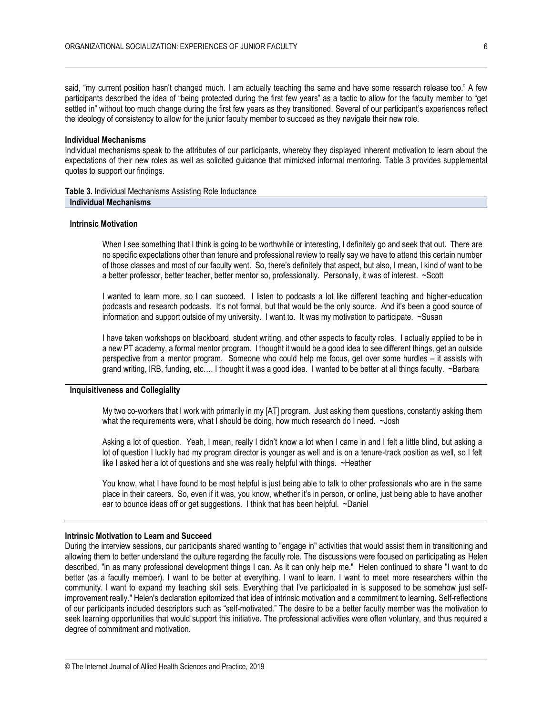said, "my current position hasn't changed much. I am actually teaching the same and have some research release too." A few participants described the idea of "being protected during the first few years" as a tactic to allow for the faculty member to "get settled in" without too much change during the first few years as they transitioned. Several of our participant's experiences reflect the ideology of consistency to allow for the junior faculty member to succeed as they navigate their new role.

#### **Individual Mechanisms**

Individual mechanisms speak to the attributes of our participants, whereby they displayed inherent motivation to learn about the expectations of their new roles as well as solicited guidance that mimicked informal mentoring. Table 3 provides supplemental quotes to support our findings.

**Table 3.** Individual Mechanisms Assisting Role Inductance **Individual Mechanisms**

#### **Intrinsic Motivation**

When I see something that I think is going to be worthwhile or interesting, I definitely go and seek that out. There are no specific expectations other than tenure and professional review to really say we have to attend this certain number of those classes and most of our faculty went. So, there's definitely that aspect, but also, I mean, I kind of want to be a better professor, better teacher, better mentor so, professionally. Personally, it was of interest. ~Scott

I wanted to learn more, so I can succeed. I listen to podcasts a lot like different teaching and higher-education podcasts and research podcasts. It's not formal, but that would be the only source. And it's been a good source of information and support outside of my university. I want to. It was my motivation to participate. ~Susan

I have taken workshops on blackboard, student writing, and other aspects to faculty roles. I actually applied to be in a new PT academy, a formal mentor program. I thought it would be a good idea to see different things, get an outside perspective from a mentor program. Someone who could help me focus, get over some hurdles – it assists with grand writing, IRB, funding, etc…. I thought it was a good idea. I wanted to be better at all things faculty. ~Barbara

#### **Inquisitiveness and Collegiality**

My two co-workers that I work with primarily in my [AT] program. Just asking them questions, constantly asking them what the requirements were, what I should be doing, how much research do I need. ~Josh

Asking a lot of question. Yeah, I mean, really I didn't know a lot when I came in and I felt a little blind, but asking a lot of question I luckily had my program director is younger as well and is on a tenure-track position as well, so I felt like I asked her a lot of questions and she was really helpful with things. ~Heather

You know, what I have found to be most helpful is just being able to talk to other professionals who are in the same place in their careers. So, even if it was, you know, whether it's in person, or online, just being able to have another ear to bounce ideas off or get suggestions. I think that has been helpful. ~Daniel

#### **Intrinsic Motivation to Learn and Succeed**

During the interview sessions, our participants shared wanting to "engage in" activities that would assist them in transitioning and allowing them to better understand the culture regarding the faculty role. The discussions were focused on participating as Helen described, "in as many professional development things I can. As it can only help me." Helen continued to share "I want to do better (as a faculty member). I want to be better at everything. I want to learn. I want to meet more researchers within the community. I want to expand my teaching skill sets. Everything that I've participated in is supposed to be somehow just selfimprovement really." Helen's declaration epitomized that idea of intrinsic motivation and a commitment to learning. Self-reflections of our participants included descriptors such as "self-motivated." The desire to be a better faculty member was the motivation to seek learning opportunities that would support this initiative. The professional activities were often voluntary, and thus required a degree of commitment and motivation.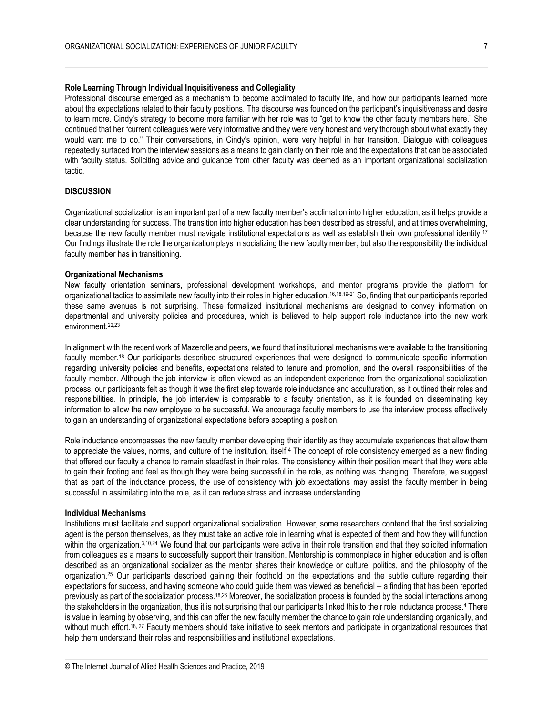#### **Role Learning Through Individual Inquisitiveness and Collegiality**

Professional discourse emerged as a mechanism to become acclimated to faculty life, and how our participants learned more about the expectations related to their faculty positions. The discourse was founded on the participant's inquisitiveness and desire to learn more. Cindy's strategy to become more familiar with her role was to "get to know the other faculty members here." She continued that her "current colleagues were very informative and they were very honest and very thorough about what exactly they would want me to do." Their conversations, in Cindy's opinion, were very helpful in her transition. Dialogue with colleagues repeatedly surfaced from the interview sessions as a means to gain clarity on their role and the expectations that can be associated with faculty status. Soliciting advice and guidance from other faculty was deemed as an important organizational socialization tactic.

#### **DISCUSSION**

Organizational socialization is an important part of a new faculty member's acclimation into higher education, as it helps provide a clear understanding for success. The transition into higher education has been described as stressful, and at times overwhelming, because the new faculty member must navigate institutional expectations as well as establish their own professional identity.<sup>17</sup> Our findings illustrate the role the organization plays in socializing the new faculty member, but also the responsibility the individual faculty member has in transitioning.

#### **Organizational Mechanisms**

New faculty orientation seminars, professional development workshops, and mentor programs provide the platform for organizational tactics to assimilate new faculty into their roles in higher education.16,18,19-21 So, finding that our participants reported these same avenues is not surprising. These formalized institutional mechanisms are designed to convey information on departmental and university policies and procedures, which is believed to help support role inductance into the new work environment.22,23

In alignment with the recent work of Mazerolle and peers, we found that institutional mechanisms were available to the transitioning faculty member.<sup>18</sup> Our participants described structured experiences that were designed to communicate specific information regarding university policies and benefits, expectations related to tenure and promotion, and the overall responsibilities of the faculty member. Although the job interview is often viewed as an independent experience from the organizational socialization process, our participants felt as though it was the first step towards role inductance and acculturation, as it outlined their roles and responsibilities. In principle, the job interview is comparable to a faculty orientation, as it is founded on disseminating key information to allow the new employee to be successful. We encourage faculty members to use the interview process effectively to gain an understanding of organizational expectations before accepting a position.

Role inductance encompasses the new faculty member developing their identity as they accumulate experiences that allow them to appreciate the values, norms, and culture of the institution, itself.<sup>4</sup> The concept of role consistency emerged as a new finding that offered our faculty a chance to remain steadfast in their roles. The consistency within their position meant that they were able to gain their footing and feel as though they were being successful in the role, as nothing was changing. Therefore, we suggest that as part of the inductance process, the use of consistency with job expectations may assist the faculty member in being successful in assimilating into the role, as it can reduce stress and increase understanding.

#### **Individual Mechanisms**

Institutions must facilitate and support organizational socialization. However, some researchers contend that the first socializing agent is the person themselves, as they must take an active role in learning what is expected of them and how they will function within the organization.<sup>3,10,24</sup> We found that our participants were active in their role transition and that they solicited information from colleagues as a means to successfully support their transition. Mentorship is commonplace in higher education and is often described as an organizational socializer as the mentor shares their knowledge or culture, politics, and the philosophy of the organization. <sup>25</sup> Our participants described gaining their foothold on the expectations and the subtle culture regarding their expectations for success, and having someone who could guide them was viewed as beneficial -- a finding that has been reported previously as part of the socialization process.18,26 Moreover, the socialization process is founded by the social interactions among the stakeholders in the organization, thus it is not surprising that our participants linked this to their role inductance process.<sup>4</sup> There is value in learning by observing, and this can offer the new faculty member the chance to gain role understanding organically, and without much effort.<sup>18, 27</sup> Faculty members should take initiative to seek mentors and participate in organizational resources that help them understand their roles and responsibilities and institutional expectations.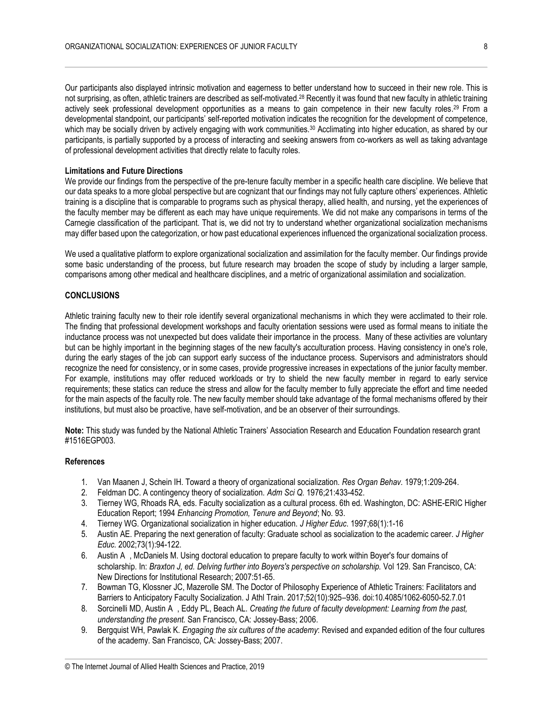Our participants also displayed intrinsic motivation and eagerness to better understand how to succeed in their new role. This is not surprising, as often, athletic trainers are described as self-motivated.<sup>28</sup> Recently it was found that new faculty in athletic training actively seek professional development opportunities as a means to gain competence in their new faculty roles. <sup>29</sup> From a developmental standpoint, our participants' self-reported motivation indicates the recognition for the development of competence, which may be socially driven by actively engaging with work communities.<sup>30</sup> Acclimating into higher education, as shared by our participants, is partially supported by a process of interacting and seeking answers from co-workers as well as taking advantage of professional development activities that directly relate to faculty roles.

#### **Limitations and Future Directions**

We provide our findings from the perspective of the pre-tenure faculty member in a specific health care discipline. We believe that our data speaks to a more global perspective but are cognizant that our findings may not fully capture others' experiences. Athletic training is a discipline that is comparable to programs such as physical therapy, allied health, and nursing, yet the experiences of the faculty member may be different as each may have unique requirements. We did not make any comparisons in terms of the Carnegie classification of the participant. That is, we did not try to understand whether organizational socialization mechanisms may differ based upon the categorization, or how past educational experiences influenced the organizational socialization process.

We used a qualitative platform to explore organizational socialization and assimilation for the faculty member. Our findings provide some basic understanding of the process, but future research may broaden the scope of study by including a larger sample, comparisons among other medical and healthcare disciplines, and a metric of organizational assimilation and socialization.

#### **CONCLUSIONS**

Athletic training faculty new to their role identify several organizational mechanisms in which they were acclimated to their role. The finding that professional development workshops and faculty orientation sessions were used as formal means to initiate the inductance process was not unexpected but does validate their importance in the process. Many of these activities are voluntary but can be highly important in the beginning stages of the new faculty's acculturation process. Having consistency in one's role, during the early stages of the job can support early success of the inductance process. Supervisors and administrators should recognize the need for consistency, or in some cases, provide progressive increases in expectations of the junior faculty member. For example, institutions may offer reduced workloads or try to shield the new faculty member in regard to early service requirements; these statics can reduce the stress and allow for the faculty member to fully appreciate the effort and time needed for the main aspects of the faculty role. The new faculty member should take advantage of the formal mechanisms offered by their institutions, but must also be proactive, have self-motivation, and be an observer of their surroundings.

**Note:** This study was funded by the National Athletic Trainers' Association Research and Education Foundation research grant #1516EGP003.

#### **References**

- 1. Van Maanen J, Schein IH. Toward a theory of organizational socialization. *Res Organ Behav.* 1979;1:209-264.
- 2. Feldman DC. A contingency theory of socialization. *Adm Sci Q.* 1976;21:433-452.
- 3. Tierney WG, Rhoads RA, eds. Faculty socialization as a cultural process. 6th ed. Washington, DC: ASHE-ERIC Higher Education Report; 1994 *Enhancing Promotion, Tenure and Beyond*; No. 93.
- 4. Tierney WG. Organizational socialization in higher education. *J Higher Educ*. 1997;68(1):1-16
- 5. Austin AE. Preparing the next generation of faculty: Graduate school as socialization to the academic career. *J Higher Educ.* 2002;73(1):94-122.
- 6. Austin A , McDaniels M. Using doctoral education to prepare faculty to work within Boyer's four domains of scholarship. In: *Braxton J, ed. Delving further into Boyers's perspective on scholarship.* Vol 129. San Francisco, CA: New Directions for Institutional Research; 2007:51-65.
- 7. Bowman TG, Klossner JC, Mazerolle SM. The Doctor of Philosophy Experience of Athletic Trainers: Facilitators and Barriers to Anticipatory Faculty Socialization. J Athl Train. 2017;52(10):925–936. doi:10.4085/1062-6050-52.7.01
- 8. Sorcinelli MD, Austin A , Eddy PL, Beach AL. *Creating the future of faculty development: Learning from the past, understanding the present.* San Francisco, CA: Jossey-Bass; 2006.
- 9. Bergquist WH, Pawlak K. *Engaging the six cultures of the academy*: Revised and expanded edition of the four cultures of the academy. San Francisco, CA: Jossey-Bass; 2007.

<sup>©</sup> The Internet Journal of Allied Health Sciences and Practice, 2019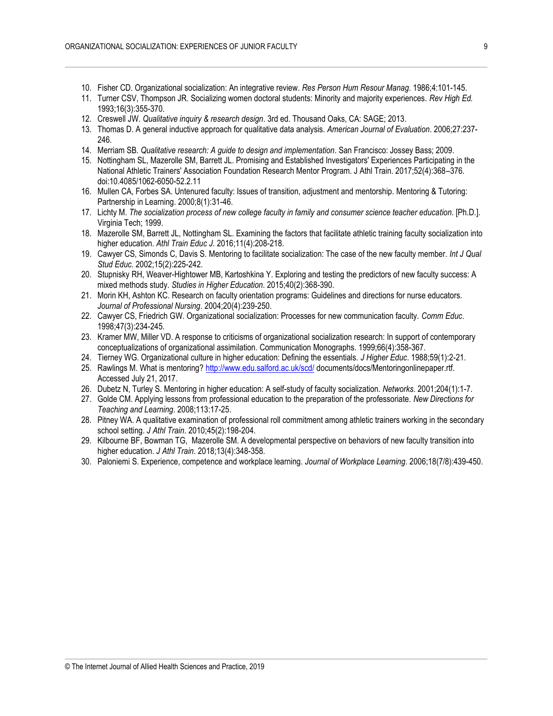- 10. Fisher CD. Organizational socialization: An integrative review. *Res Person Hum Resour Manag*. 1986;4:101-145.
- 11. Turner CSV, Thompson JR. Socializing women doctoral students: Minority and majority experiences. *Rev High Ed.* 1993;16(3):355-370.
- 12. Creswell JW. *Qualitative inquiry & research design*. 3rd ed. Thousand Oaks, CA: SAGE; 2013.
- 13. Thomas D. A general inductive approach for qualitative data analysis. *American Journal of Evaluation*. 2006;27:237- 246.
- 14. Merriam SB*. Qualitative research: A guide to design and implementation*. San Francisco: Jossey Bass; 2009.
- 15. Nottingham SL, Mazerolle SM, Barrett JL. Promising and Established Investigators' Experiences Participating in the National Athletic Trainers' Association Foundation Research Mentor Program. J Athl Train. 2017;52(4):368–376. doi:10.4085/1062-6050-52.2.11
- 16. Mullen CA, Forbes SA. Untenured faculty: Issues of transition, adjustment and mentorship. Mentoring & Tutoring: Partnership in Learning. 2000;8(1):31-46.
- 17. Lichty M. *The socialization process of new college faculty in family and consumer science teacher education*. [Ph.D.]. Virginia Tech; 1999.
- 18. Mazerolle SM, Barrett JL, Nottingham SL. Examining the factors that facilitate athletic training faculty socialization into higher education. *Athl Train Educ J*. 2016;11(4):208-218.
- 19. Cawyer CS, Simonds C, Davis S. Mentoring to facilitate socialization: The case of the new faculty member. *Int J Qual Stud Educ.* 2002;15(2):225-242.
- 20. Stupnisky RH, Weaver-Hightower MB, Kartoshkina Y. Exploring and testing the predictors of new faculty success: A mixed methods study. *Studies in Higher Education*. 2015;40(2):368-390.
- 21. Morin KH, Ashton KC. Research on faculty orientation programs: Guidelines and directions for nurse educators. *Journal of Professional Nursing*. 2004;20(4):239-250.
- 22. Cawyer CS, Friedrich GW. Organizational socialization: Processes for new communication faculty. *Comm Educ*. 1998;47(3):234-245.
- 23. Kramer MW, Miller VD. A response to criticisms of organizational socialization research: In support of contemporary conceptualizations of organizational assimilation. Communication Monographs. 1999;66(4):358-367.
- 24. Tierney WG. Organizational culture in higher education: Defining the essentials. *J Higher Educ*. 1988;59(1):2-21.
- 25. Rawlings M. What is mentoring?<http://www.edu.salford.ac.uk/scd/> documents/docs/Mentoringonlinepaper.rtf. Accessed July 21, 2017.
- 26. Dubetz N, Turley S. Mentoring in higher education: A self-study of faculty socialization. *Networks*. 2001;204(1):1-7.
- 27. Golde CM. Applying lessons from professional education to the preparation of the professoriate. *New Directions for Teaching and Learning*. 2008;113:17-25.
- 28. Pitney WA. A qualitative examination of professional roll commitment among athletic trainers working in the secondary school setting. *J Athl Train*. 2010;45(2):198-204.
- 29. Kilbourne BF, Bowman TG, Mazerolle SM. A developmental perspective on behaviors of new faculty transition into higher education. *J Athl Train*. 2018;13(4):348-358.
- 30. Paloniemi S. Experience, competence and workplace learning. *Journal of Workplace Learning*. 2006;18(7/8):439-450.